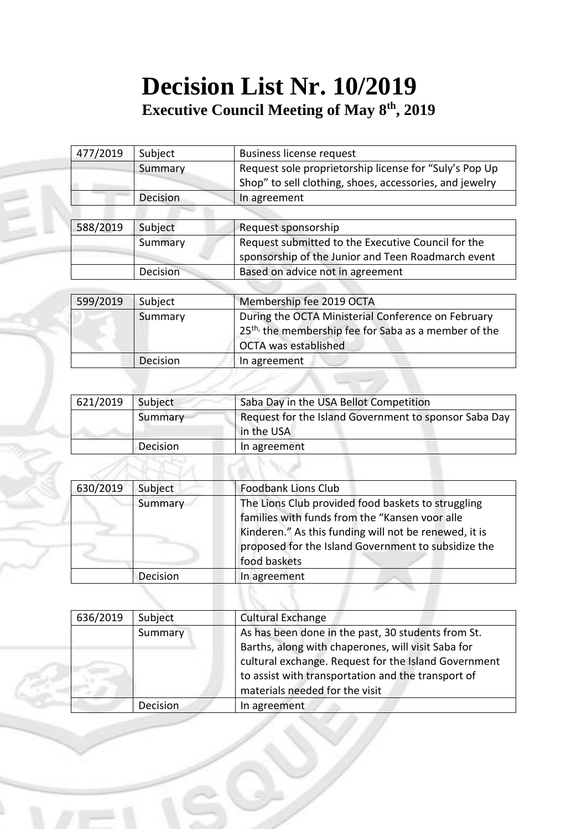## **Decision List Nr. 10/2019 Executive Council Meeting of May 8 th, 2019**

| 477/2019 | Subject         | <b>Business license request</b>                         |
|----------|-----------------|---------------------------------------------------------|
|          | Summary         | Request sole proprietorship license for "Suly's Pop Up  |
|          |                 | Shop" to sell clothing, shoes, accessories, and jewelry |
|          | <b>Decision</b> | In agreement                                            |
|          |                 |                                                         |
| 588/2019 | Subject         | Request sponsorship                                     |
|          | Summary         | Request submitted to the Executive Council for the      |
|          |                 | sponsorship of the Junior and Teen Roadmarch event      |
|          | <b>Decision</b> | Based on advice not in agreement                        |

| 599/2019 | Subject  | Membership fee 2019 OCTA                                                                                                                              |
|----------|----------|-------------------------------------------------------------------------------------------------------------------------------------------------------|
|          | Summary  | During the OCTA Ministerial Conference on February<br>25 <sup>th,</sup> the membership fee for Saba as a member of the<br><b>OCTA was established</b> |
|          | Decision | In agreement                                                                                                                                          |
|          |          |                                                                                                                                                       |

| 621/2019 | Subject  | Saba Day in the USA Bellot Competition                              |
|----------|----------|---------------------------------------------------------------------|
|          | Summary  | Request for the Island Government to sponsor Saba Day<br>in the USA |
|          | Decision | In agreement                                                        |

| 630/2019 | Subject  | <b>Foodbank Lions Club</b>                                                                                                                                                                                                           |
|----------|----------|--------------------------------------------------------------------------------------------------------------------------------------------------------------------------------------------------------------------------------------|
|          | Summary  | The Lions Club provided food baskets to struggling<br>families with funds from the "Kansen voor alle<br>Kinderen." As this funding will not be renewed, it is<br>proposed for the Island Government to subsidize the<br>food baskets |
|          | Decision | In agreement                                                                                                                                                                                                                         |

| 636/2019 | Subject  | <b>Cultural Exchange</b>                                                                                   |
|----------|----------|------------------------------------------------------------------------------------------------------------|
|          | Summary  | As has been done in the past, 30 students from St.                                                         |
|          |          | Barths, along with chaperones, will visit Saba for<br>cultural exchange. Request for the Island Government |
|          |          | to assist with transportation and the transport of<br>materials needed for the visit                       |
|          | Decision | In agreement                                                                                               |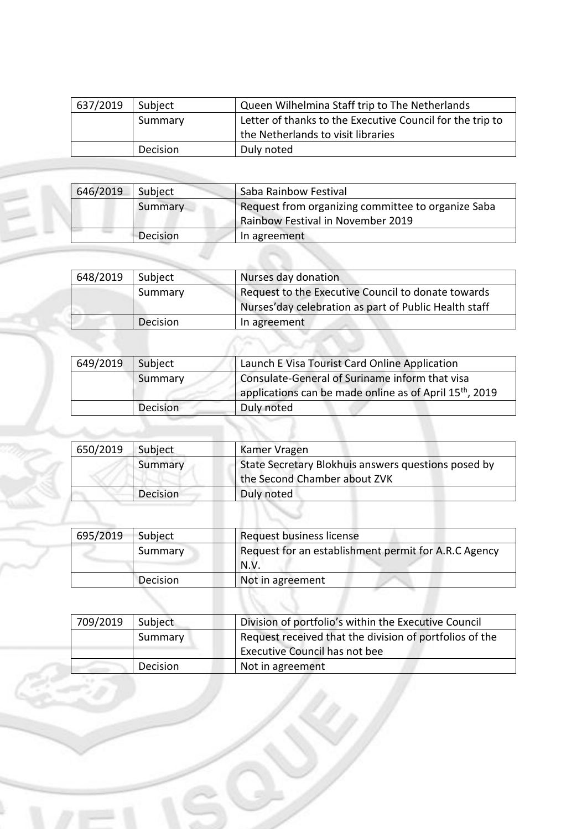| 637/2019 | Subject  | Queen Wilhelmina Staff trip to The Netherlands            |  |
|----------|----------|-----------------------------------------------------------|--|
|          | Summary  | Letter of thanks to the Executive Council for the trip to |  |
|          |          | the Netherlands to visit libraries                        |  |
|          | Decision | Duly noted                                                |  |

| 646/2019 | Saba Rainbow Festival<br>Subject |                                                    |  |  |
|----------|----------------------------------|----------------------------------------------------|--|--|
|          | Summary                          | Request from organizing committee to organize Saba |  |  |
|          |                                  | Rainbow Festival in November 2019                  |  |  |
|          | Decision                         | In agreement                                       |  |  |

딜

Í.

|          | 648/2019 |
|----------|----------|
| Summary  |          |
|          |          |
| Decision |          |
|          |          |
|          |          |

| 649/2019 | Subject  | Launch E Visa Tourist Card Online Application                       |
|----------|----------|---------------------------------------------------------------------|
|          | Summary  | Consulate-General of Suriname inform that visa                      |
|          |          | applications can be made online as of April 15 <sup>th</sup> , 2019 |
|          | Decision | Duly noted                                                          |

| 650/2019 | Subject  | Kamer Vragen                                                                        |
|----------|----------|-------------------------------------------------------------------------------------|
|          | Summary  | State Secretary Blokhuis answers questions posed by<br>the Second Chamber about ZVK |
|          | Decision | Duly noted                                                                          |

| 695/2019 | Subject  | Request business license                             |
|----------|----------|------------------------------------------------------|
|          | Summary  | Request for an establishment permit for A.R.C Agency |
|          |          | N.V.                                                 |
|          | Decision | Not in agreement                                     |

| 709/2019 | Subject  | Division of portfolio's within the Executive Council    |
|----------|----------|---------------------------------------------------------|
|          | Summary  | Request received that the division of portfolios of the |
|          |          | <b>Executive Council has not bee</b>                    |
|          | Decision | Not in agreement                                        |
|          |          |                                                         |
|          |          |                                                         |